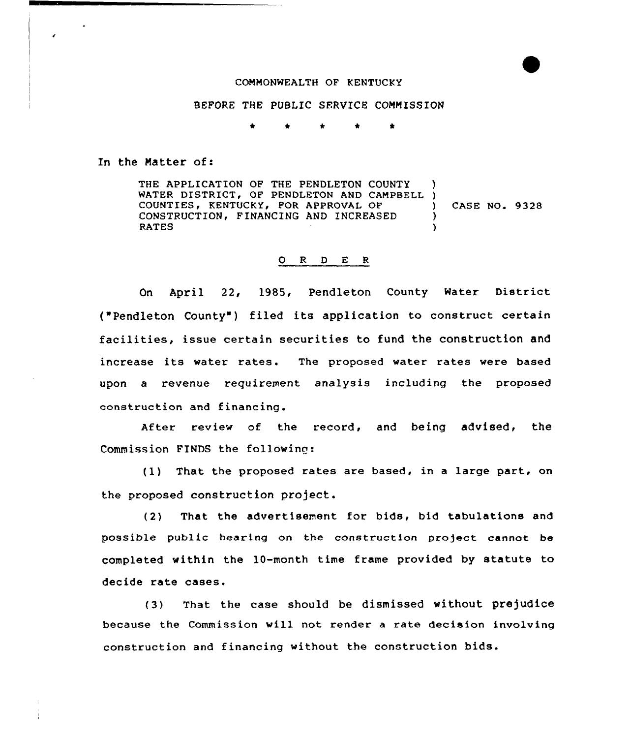## COMMONWEALTH OF KENTUCKY

## BEFORE THE PUBLIC SERVICE COMMISSION

 $\bullet$ ٠

In the Natter of:

THE APPLICATION OF THE PENDLETON COUNTY WATER DISTRICT, OF PENDLETON AND CAMPBELL ) COUNTIES, KENTUCKY, FOR APPROVAL OF CONSTRUCTION, FINANCING AND INCREASED RATES ) ) CASE NO. 9328 ) )

## 0 <sup>R</sup> <sup>D</sup> E <sup>K</sup>

On April 22, 1985, Pendleton County Water District ("Pendleton County") filed its application to construct certain facilities, issue certain securities to fund the construction and increase its water rates. The proposed water rates were based upon a revenue requirement analysis including the proposed construction and financing.

After review of the record, and being advised, the Commission FINDS the following:

(1) That the proposed rates are based, in <sup>a</sup> large part, on the proposed construction pro)ect.

(2) That the advertisement for bids, bid tabulations and possible public hearing on the construction project cannot be completed within the 10-month time frame provided by statute to decide rate cases.

(3) That the case should be dismissed without prejudice because the Commission will not render a rate decision involving construction and financing without the construction bids.